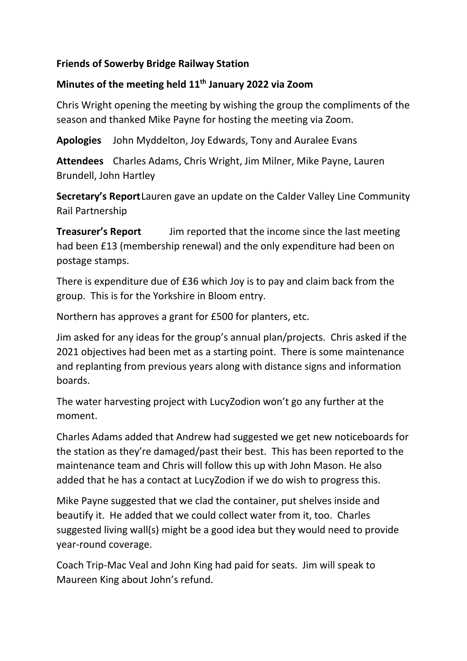#### **Friends of Sowerby Bridge Railway Station**

# **Minutes of the meeting held 11th January 2022 via Zoom**

Chris Wright opening the meeting by wishing the group the compliments of the season and thanked Mike Payne for hosting the meeting via Zoom.

**Apologies** John Myddelton, Joy Edwards, Tony and Auralee Evans

**Attendees** Charles Adams, Chris Wright, Jim Milner, Mike Payne, Lauren Brundell, John Hartley

**Secretary's Report**Lauren gave an update on the Calder Valley Line Community Rail Partnership

**Treasurer's Report** Jim reported that the income since the last meeting had been £13 (membership renewal) and the only expenditure had been on postage stamps.

There is expenditure due of £36 which Joy is to pay and claim back from the group. This is for the Yorkshire in Bloom entry.

Northern has approves a grant for £500 for planters, etc.

Jim asked for any ideas for the group's annual plan/projects. Chris asked if the 2021 objectives had been met as a starting point. There is some maintenance and replanting from previous years along with distance signs and information boards.

The water harvesting project with LucyZodion won't go any further at the moment.

Charles Adams added that Andrew had suggested we get new noticeboards for the station as they're damaged/past their best. This has been reported to the maintenance team and Chris will follow this up with John Mason. He also added that he has a contact at LucyZodion if we do wish to progress this.

Mike Payne suggested that we clad the container, put shelves inside and beautify it. He added that we could collect water from it, too. Charles suggested living wall(s) might be a good idea but they would need to provide year-round coverage.

Coach Trip-Mac Veal and John King had paid for seats. Jim will speak to Maureen King about John's refund.